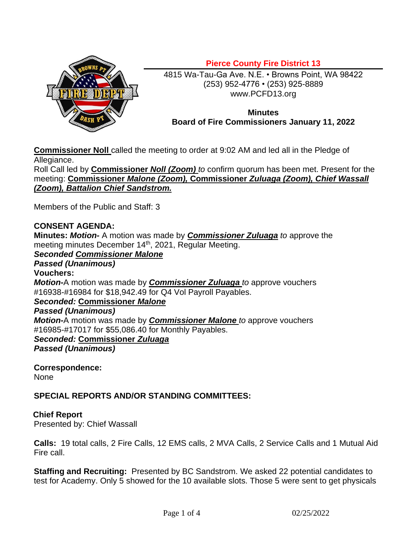

4815 Wa-Tau-Ga Ave. N.E. • Browns Point, WA 98422 (253) 952-4776 • (253) 925-8889 www.PCFD13.org

## **Minutes Board of Fire Commissioners January 11, 2022**

**Commissioner Noll** called the meeting to order at 9:02 AM and led all in the Pledge of Allegiance.

Roll Call led by **Commissioner** *Noll (Zoom) to* confirm quorum has been met. Present for the meeting: **Commissioner** *Malone (Zoom),* **Commissioner** *Zuluaga (Zoom), Chief Wassall (Zoom), Battalion Chief Sandstrom.*

Members of the Public and Staff: 3

# **CONSENT AGENDA:**

**Minutes:** *Motion-* A motion was made by *Commissioner Zuluaga to* approve the meeting minutes December 14<sup>th</sup>, 2021, Regular Meeting.

# *Seconded Commissioner Malone*

*Passed (Unanimous)* **Vouchers:** *Motion-*A motion was made by *Commissioner Zuluaga to* approve vouchers #16938-#16984 for \$18,942.49 for Q4 Vol Payroll Payables. *Seconded:* **Commissioner** *Malone Passed (Unanimous) Motion-*A motion was made by *Commissioner Malone to* approve vouchers #16985-#17017 for \$55,086.40 for Monthly Payables. *Seconded:* **Commissioner** *Zuluaga Passed (Unanimous)*

**Correspondence:**

None

## **SPECIAL REPORTS AND/OR STANDING COMMITTEES:**

## **Chief Report**

Presented by: Chief Wassall

**Calls:** 19 total calls, 2 Fire Calls, 12 EMS calls, 2 MVA Calls, 2 Service Calls and 1 Mutual Aid Fire call.

**Staffing and Recruiting:** Presented by BC Sandstrom. We asked 22 potential candidates to test for Academy. Only 5 showed for the 10 available slots. Those 5 were sent to get physicals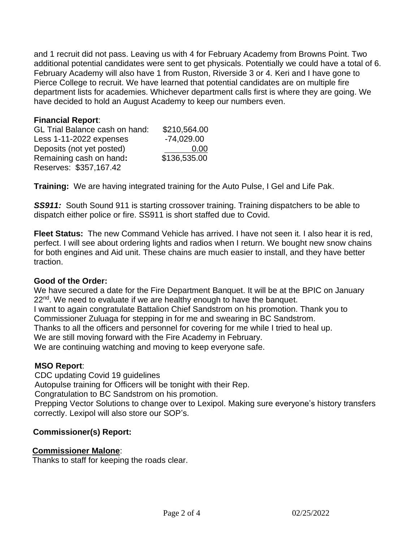and 1 recruit did not pass. Leaving us with 4 for February Academy from Browns Point. Two additional potential candidates were sent to get physicals. Potentially we could have a total of 6. February Academy will also have 1 from Ruston, Riverside 3 or 4. Keri and I have gone to Pierce College to recruit. We have learned that potential candidates are on multiple fire department lists for academies. Whichever department calls first is where they are going. We have decided to hold an August Academy to keep our numbers even.

### **Financial Report**:

| <b>GL Trial Balance cash on hand:</b> | \$210,564.00 |
|---------------------------------------|--------------|
| Less 1-11-2022 expenses               | $-74,029.00$ |
| Deposits (not yet posted)             | 0.00         |
| Remaining cash on hand:               | \$136,535.00 |
| Reserves: \$357,167.42                |              |

**Training:** We are having integrated training for the Auto Pulse, I Gel and Life Pak.

**SS911:** South Sound 911 is starting crossover training. Training dispatchers to be able to dispatch either police or fire. SS911 is short staffed due to Covid.

**Fleet Status:** The new Command Vehicle has arrived. I have not seen it. I also hear it is red, perfect. I will see about ordering lights and radios when I return. We bought new snow chains for both engines and Aid unit. These chains are much easier to install, and they have better traction.

### **Good of the Order:**

We have secured a date for the Fire Department Banquet. It will be at the BPIC on January 22<sup>nd</sup>. We need to evaluate if we are healthy enough to have the banquet. I want to again congratulate Battalion Chief Sandstrom on his promotion. Thank you to Commissioner Zuluaga for stepping in for me and swearing in BC Sandstrom. Thanks to all the officers and personnel for covering for me while I tried to heal up. We are still moving forward with the Fire Academy in February. We are continuing watching and moving to keep everyone safe.

### **MSO Report**:

 CDC updating Covid 19 guidelines Autopulse training for Officers will be tonight with their Rep. Congratulation to BC Sandstrom on his promotion. Prepping Vector Solutions to change over to Lexipol. Making sure everyone's history transfers correctly. Lexipol will also store our SOP's.

## **Commissioner(s) Report:**

## **Commissioner Malone**:

Thanks to staff for keeping the roads clear.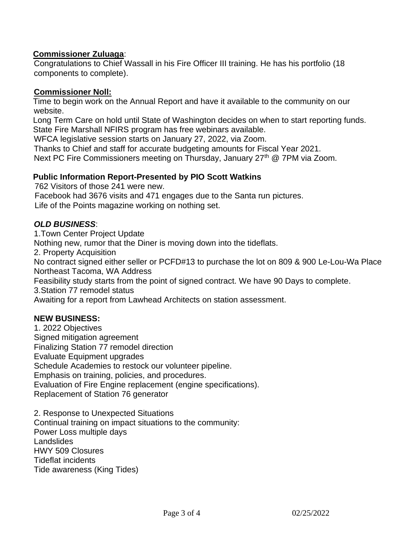### **Commissioner Zuluaga**:

Congratulations to Chief Wassall in his Fire Officer III training. He has his portfolio (18 components to complete).

### **Commissioner Noll:**

Time to begin work on the Annual Report and have it available to the community on our website.

Long Term Care on hold until State of Washington decides on when to start reporting funds. State Fire Marshall NFIRS program has free webinars available.

WFCA legislative session starts on January 27, 2022, via Zoom.

Thanks to Chief and staff for accurate budgeting amounts for Fiscal Year 2021. Next PC Fire Commissioners meeting on Thursday, January 27<sup>th</sup> @ 7PM via Zoom.

## **Public Information Report-Presented by PIO Scott Watkins**

762 Visitors of those 241 were new.

Facebook had 3676 visits and 471 engages due to the Santa run pictures.

Life of the Points magazine working on nothing set.

## *OLD BUSINESS*:

1.Town Center Project Update Nothing new, rumor that the Diner is moving down into the tideflats. 2. Property Acquisition No contract signed either seller or PCFD#13 to purchase the lot on 809 & 900 Le-Lou-Wa Place Northeast Tacoma, WA Address Feasibility study starts from the point of signed contract. We have 90 Days to complete. 3.Station 77 remodel status Awaiting for a report from Lawhead Architects on station assessment.

### **NEW BUSINESS:**

1. 2022 Objectives Signed mitigation agreement Finalizing Station 77 remodel direction Evaluate Equipment upgrades Schedule Academies to restock our volunteer pipeline. Emphasis on training, policies, and procedures. Evaluation of Fire Engine replacement (engine specifications). Replacement of Station 76 generator

2. Response to Unexpected Situations Continual training on impact situations to the community: Power Loss multiple days **Landslides** HWY 509 Closures Tideflat incidents Tide awareness (King Tides)